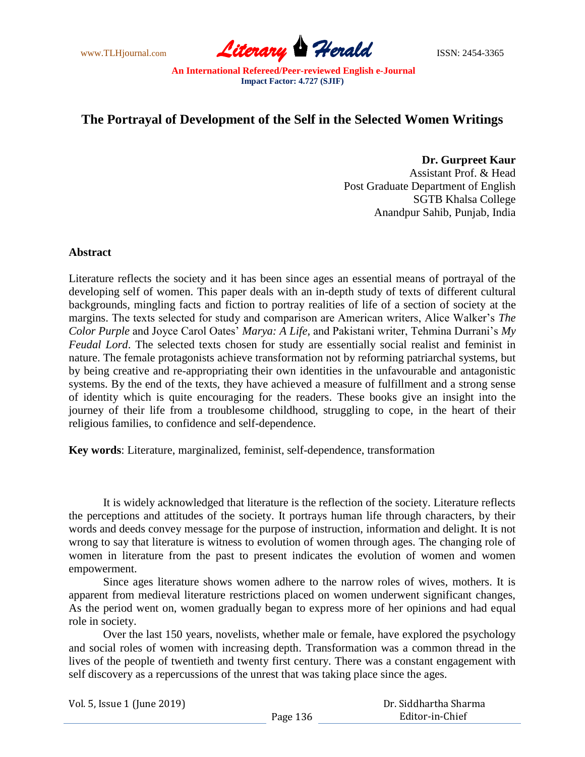

## **The Portrayal of Development of the Self in the Selected Women Writings**

**Dr. Gurpreet Kaur** Assistant Prof. & Head Post Graduate Department of English SGTB Khalsa College Anandpur Sahib, Punjab, India

## **Abstract**

Literature reflects the society and it has been since ages an essential means of portrayal of the developing self of women. This paper deals with an in-depth study of texts of different cultural backgrounds, mingling facts and fiction to portray realities of life of a section of society at the margins. The texts selected for study and comparison are American writers, Alice Walker's *The Color Purple* and Joyce Carol Oates' *Marya: A Life,* and Pakistani writer, Tehmina Durrani's *My Feudal Lord*. The selected texts chosen for study are essentially social realist and feminist in nature. The female protagonists achieve transformation not by reforming patriarchal systems, but by being creative and re-appropriating their own identities in the unfavourable and antagonistic systems. By the end of the texts, they have achieved a measure of fulfillment and a strong sense of identity which is quite encouraging for the readers. These books give an insight into the journey of their life from a troublesome childhood, struggling to cope, in the heart of their religious families, to confidence and self-dependence.

**Key words**: Literature, marginalized, feminist, self-dependence, transformation

It is widely acknowledged that literature is the reflection of the society. Literature reflects the perceptions and attitudes of the society. It portrays human life through characters, by their words and deeds convey message for the purpose of instruction, information and delight. It is not wrong to say that literature is witness to evolution of women through ages. The changing role of women in literature from the past to present indicates the evolution of women and women empowerment.

Since ages literature shows women adhere to the narrow roles of wives, mothers. It is apparent from medieval literature restrictions placed on women underwent significant changes, As the period went on, women gradually began to express more of her opinions and had equal role in society.

Over the last 150 years, novelists, whether male or female, have explored the psychology and social roles of women with increasing depth. Transformation was a common thread in the lives of the people of twentieth and twenty first century. There was a constant engagement with self discovery as a repercussions of the unrest that was taking place since the ages.

| Vol. 5, Issue 1 (June 2019) |          | Dr. Siddhartha Sharma |
|-----------------------------|----------|-----------------------|
|                             | Page 136 | Editor-in-Chief       |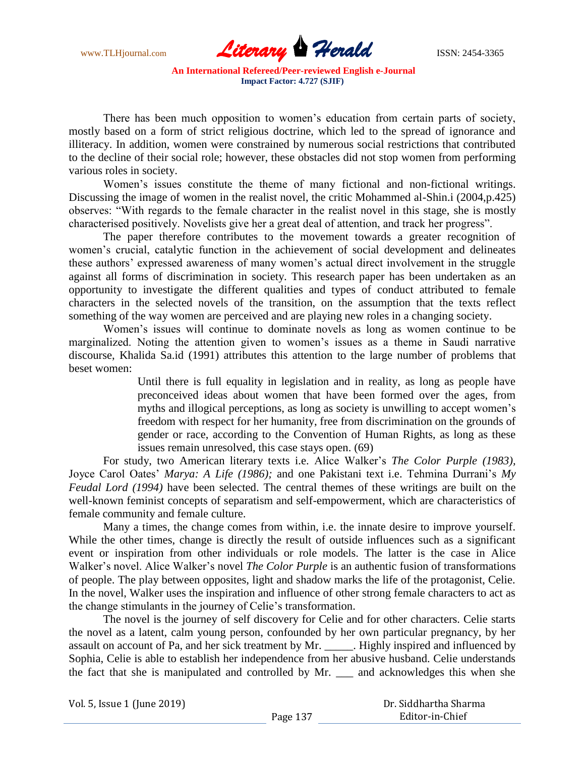www.TLHjournal.com **Literary Herald Herald ISSN: 2454-3365** 

There has been much opposition to women's education from certain parts of society, mostly based on a form of strict religious doctrine, which led to the spread of ignorance and illiteracy. In addition, women were constrained by numerous social restrictions that contributed to the decline of their social role; however, these obstacles did not stop women from performing various roles in society.

Women's issues constitute the theme of many fictional and non-fictional writings. Discussing the image of women in the realist novel, the critic Mohammed al-Shin.i (2004,p.425) observes: "With regards to the female character in the realist novel in this stage, she is mostly characterised positively. Novelists give her a great deal of attention, and track her progress".

The paper therefore contributes to the movement towards a greater recognition of women's crucial, catalytic function in the achievement of social development and delineates these authors' expressed awareness of many women's actual direct involvement in the struggle against all forms of discrimination in society. This research paper has been undertaken as an opportunity to investigate the different qualities and types of conduct attributed to female characters in the selected novels of the transition, on the assumption that the texts reflect something of the way women are perceived and are playing new roles in a changing society.

Women's issues will continue to dominate novels as long as women continue to be marginalized. Noting the attention given to women's issues as a theme in Saudi narrative discourse, Khalida Sa.id (1991) attributes this attention to the large number of problems that beset women:

> Until there is full equality in legislation and in reality, as long as people have preconceived ideas about women that have been formed over the ages, from myths and illogical perceptions, as long as society is unwilling to accept women's freedom with respect for her humanity, free from discrimination on the grounds of gender or race, according to the Convention of Human Rights, as long as these issues remain unresolved, this case stays open. (69)

For study, two American literary texts i.e. Alice Walker's *The Color Purple (1983),*  Joyce Carol Oates' *Marya: A Life (1986);* and one Pakistani text i.e. Tehmina Durrani's *My Feudal Lord (1994)* have been selected. The central themes of these writings are built on the well-known feminist concepts of separatism and self-empowerment, which are characteristics of female community and female culture.

Many a times, the change comes from within, i.e. the innate desire to improve yourself. While the other times, change is directly the result of outside influences such as a significant event or inspiration from other individuals or role models. The latter is the case in Alice Walker's novel. Alice Walker's novel *The Color Purple* is an authentic fusion of transformations of people. The play between opposites, light and shadow marks the life of the protagonist, Celie. In the novel, Walker uses the inspiration and influence of other strong female characters to act as the change stimulants in the journey of Celie's transformation.

The novel is the journey of self discovery for Celie and for other characters. Celie starts the novel as a latent, calm young person, confounded by her own particular pregnancy, by her assault on account of Pa, and her sick treatment by Mr. \_\_\_\_\_. Highly inspired and influenced by Sophia, Celie is able to establish her independence from her abusive husband. Celie understands the fact that she is manipulated and controlled by Mr. \_\_\_ and acknowledges this when she

Vol. 5, Issue 1 (June 2019)

 Dr. Siddhartha Sharma Editor-in-Chief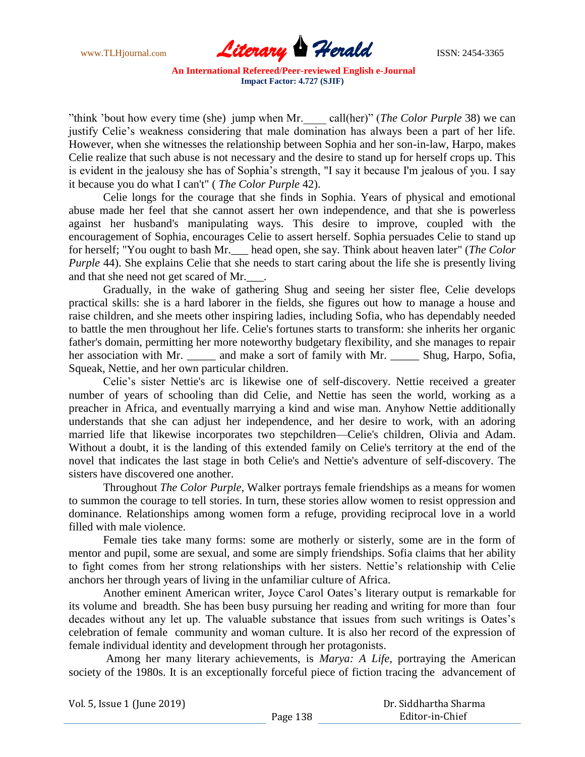

"think 'bout how every time (she) jump when Mr. call(her)" (*The Color Purple* 38) we can justify Celie's weakness considering that male domination has always been a part of her life. However, when she witnesses the relationship between Sophia and her son-in-law, Harpo, makes Celie realize that such abuse is not necessary and the desire to stand up for herself crops up. This is evident in the jealousy she has of Sophia's strength, "I say it because I'm jealous of you. I say it because you do what I can't" ( *The Color Purple* 42).

Celie longs for the courage that she finds in Sophia. Years of physical and emotional abuse made her feel that she cannot assert her own independence, and that she is powerless against her husband's manipulating ways. This desire to improve, coupled with the encouragement of Sophia, encourages Celie to assert herself. Sophia persuades Celie to stand up for herself; "You ought to bash Mr.\_\_\_ head open, she say. Think about heaven later" (*The Color Purple* 44). She explains Celie that she needs to start caring about the life she is presently living and that she need not get scared of Mr.  $\Box$ .

Gradually, in the wake of gathering Shug and seeing her sister flee, Celie develops practical skills: she is a hard laborer in the fields, she figures out how to manage a house and raise children, and she meets other inspiring ladies, including Sofia, who has dependably needed to battle the men throughout her life. Celie's fortunes starts to transform: she inherits her organic father's domain, permitting her more noteworthy budgetary flexibility, and she manages to repair her association with Mr. \_\_\_\_\_ and make a sort of family with Mr. \_\_\_\_\_ Shug, Harpo, Sofia, Squeak, Nettie, and her own particular children.

Celie's sister Nettie's arc is likewise one of self-discovery. Nettie received a greater number of years of schooling than did Celie, and Nettie has seen the world, working as a preacher in Africa, and eventually marrying a kind and wise man. Anyhow Nettie additionally understands that she can adjust her independence, and her desire to work, with an adoring married life that likewise incorporates two stepchildren—Celie's children, Olivia and Adam. Without a doubt, it is the landing of this extended family on Celie's territory at the end of the novel that indicates the last stage in both Celie's and Nettie's adventure of self-discovery. The sisters have discovered one another.

Throughout *The Color Purple,* Walker portrays female friendships as a means for women to summon the courage to tell stories. In turn, these stories allow women to resist oppression and dominance. Relationships among women form a refuge, providing reciprocal love in a world filled with male violence.

Female ties take many forms: some are motherly or sisterly, some are in the form of mentor and pupil, some are sexual, and some are simply friendships. Sofia claims that her ability to fight comes from her strong relationships with her sisters. Nettie's relationship with Celie anchors her through years of living in the unfamiliar culture of Africa.

Another eminent American writer, Joyce Carol Oates's literary output is remarkable for its volume and breadth. She has been busy pursuing her reading and writing for more than four decades without any let up. The valuable substance that issues from such writings is Oates's celebration of female community and woman culture. It is also her record of the expression of female individual identity and development through her protagonists.

Among her many literary achievements, is *Marya: A Life,* portraying the American society of the 1980s. It is an exceptionally forceful piece of fiction tracing the advancement of

| Vol. 5, Issue 1 (June 2019) |          | Dr. Siddhartha Sharma |  |
|-----------------------------|----------|-----------------------|--|
|                             | Page 138 | Editor-in-Chief       |  |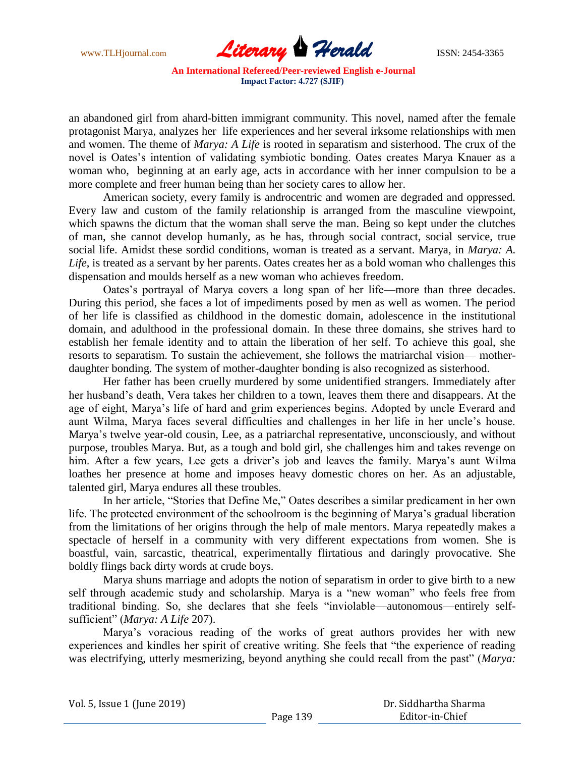

an abandoned girl from ahard-bitten immigrant community. This novel, named after the female protagonist Marya, analyzes her life experiences and her several irksome relationships with men and women. The theme of *Marya: A Life* is rooted in separatism and sisterhood. The crux of the novel is Oates's intention of validating symbiotic bonding. Oates creates Marya Knauer as a woman who, beginning at an early age, acts in accordance with her inner compulsion to be a more complete and freer human being than her society cares to allow her.

American society, every family is androcentric and women are degraded and oppressed. Every law and custom of the family relationship is arranged from the masculine viewpoint, which spawns the dictum that the woman shall serve the man. Being so kept under the clutches of man, she cannot develop humanly, as he has, through social contract, social service, true social life. Amidst these sordid conditions, woman is treated as a servant. Marya, in *Marya: A. Life*, is treated as a servant by her parents. Oates creates her as a bold woman who challenges this dispensation and moulds herself as a new woman who achieves freedom.

Oates's portrayal of Marya covers a long span of her life—more than three decades. During this period, she faces a lot of impediments posed by men as well as women. The period of her life is classified as childhood in the domestic domain, adolescence in the institutional domain, and adulthood in the professional domain. In these three domains, she strives hard to establish her female identity and to attain the liberation of her self. To achieve this goal, she resorts to separatism. To sustain the achievement, she follows the matriarchal vision— motherdaughter bonding. The system of mother-daughter bonding is also recognized as sisterhood.

Her father has been cruelly murdered by some unidentified strangers. Immediately after her husband's death, Vera takes her children to a town, leaves them there and disappears. At the age of eight, Marya's life of hard and grim experiences begins. Adopted by uncle Everard and aunt Wilma, Marya faces several difficulties and challenges in her life in her uncle's house. Marya's twelve year-old cousin, Lee, as a patriarchal representative, unconsciously, and without purpose, troubles Marya. But, as a tough and bold girl, she challenges him and takes revenge on him. After a few years, Lee gets a driver's job and leaves the family. Marya's aunt Wilma loathes her presence at home and imposes heavy domestic chores on her. As an adjustable, talented girl, Marya endures all these troubles.

In her article, "Stories that Define Me," Oates describes a similar predicament in her own life. The protected environment of the schoolroom is the beginning of Marya's gradual liberation from the limitations of her origins through the help of male mentors. Marya repeatedly makes a spectacle of herself in a community with very different expectations from women. She is boastful, vain, sarcastic, theatrical, experimentally flirtatious and daringly provocative. She boldly flings back dirty words at crude boys.

Marya shuns marriage and adopts the notion of separatism in order to give birth to a new self through academic study and scholarship. Marya is a "new woman" who feels free from traditional binding. So, she declares that she feels "inviolable—autonomous—entirely selfsufficient" (*Marya: A Life 207*).

Marya's voracious reading of the works of great authors provides her with new experiences and kindles her spirit of creative writing. She feels that "the experience of reading was electrifying, utterly mesmerizing, beyond anything she could recall from the past" (*Marya*: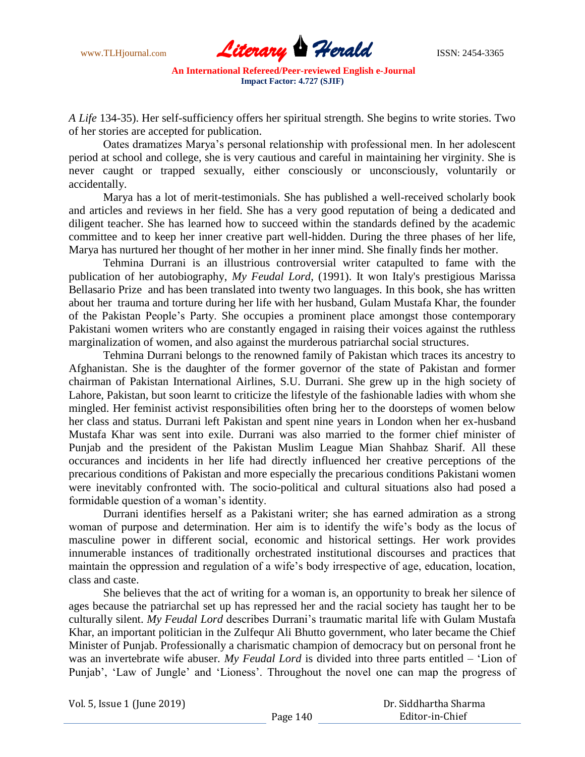

*A Life* 134-35). Her self-sufficiency offers her spiritual strength. She begins to write stories. Two of her stories are accepted for publication.

Oates dramatizes Marya's personal relationship with professional men. In her adolescent period at school and college, she is very cautious and careful in maintaining her virginity. She is never caught or trapped sexually, either consciously or unconsciously, voluntarily or accidentally.

Marya has a lot of merit-testimonials. She has published a well-received scholarly book and articles and reviews in her field. She has a very good reputation of being a dedicated and diligent teacher. She has learned how to succeed within the standards defined by the academic committee and to keep her inner creative part well-hidden. During the three phases of her life, Marya has nurtured her thought of her mother in her inner mind. She finally finds her mother.

Tehmina Durrani is an illustrious controversial writer catapulted to fame with the publication of her autobiography, *My Feudal Lord*, (1991). It won Italy's prestigious Marissa Bellasario Prize and has been translated into twenty two languages. In this book, she has written about her trauma and torture during her life with her husband, Gulam Mustafa Khar, the founder of the Pakistan People's Party. She occupies a prominent place amongst those contemporary Pakistani women writers who are constantly engaged in raising their voices against the ruthless marginalization of women, and also against the murderous patriarchal social structures.

Tehmina Durrani belongs to the renowned family of Pakistan which traces its ancestry to Afghanistan. She is the daughter of the former governor of the state of Pakistan and former chairman of Pakistan International Airlines, S.U. Durrani. She grew up in the high society of Lahore, Pakistan, but soon learnt to criticize the lifestyle of the fashionable ladies with whom she mingled. Her feminist activist responsibilities often bring her to the doorsteps of women below her class and status. Durrani left Pakistan and spent nine years in London when her ex-husband Mustafa Khar was sent into exile. Durrani was also married to the former chief minister of Punjab and the president of the Pakistan Muslim League Mian Shahbaz Sharif. All these occurances and incidents in her life had directly influenced her creative perceptions of the precarious conditions of Pakistan and more especially the precarious conditions Pakistani women were inevitably confronted with. The socio-political and cultural situations also had posed a formidable question of a woman's identity.

Durrani identifies herself as a Pakistani writer; she has earned admiration as a strong woman of purpose and determination. Her aim is to identify the wife's body as the locus of masculine power in different social, economic and historical settings. Her work provides innumerable instances of traditionally orchestrated institutional discourses and practices that maintain the oppression and regulation of a wife's body irrespective of age, education, location, class and caste.

She believes that the act of writing for a woman is, an opportunity to break her silence of ages because the patriarchal set up has repressed her and the racial society has taught her to be culturally silent. *My Feudal Lord* describes Durrani's traumatic marital life with Gulam Mustafa Khar, an important politician in the Zulfequr Ali Bhutto government, who later became the Chief Minister of Punjab. Professionally a charismatic champion of democracy but on personal front he was an invertebrate wife abuser. My Feudal Lord is divided into three parts entitled – 'Lion of Punjab', 'Law of Jungle' and 'Lioness'. Throughout the novel one can map the progress of

| Vol. 5, Issue 1 (June 2019) |  |
|-----------------------------|--|
|-----------------------------|--|

 Dr. Siddhartha Sharma Editor-in-Chief